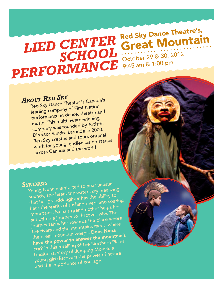## *LIED CENTER SCHOOL PERFORMANCE* Red Sky Dance Theatre's, Red Sky Ballico<br>Great Mountain October 29 & 30, 2012 9:45 am & 1:00 pm

## *<sup>A</sup>bout Red Sky*

Red Sky Dance Theater is Canada's leading company of First Nation performance in dance, theatre an<sup>d</sup> music. This multi-award-winning company was founded by Artistic Director Sandra Laronde in 2000. Red Sky creates and tours origina<sup>l</sup> work for young audiences on stages across Canada and the world.

#### *Synopsis*

Young Nuna has started to hear unusua<sup>l</sup> sounds, she hears the waters cry. Realizing that her granddaughter has the ability to hear the spirits of rushing rivers and soaring mountains, Nuna's grandmother helps her set off on a journey to discover why. The journey takes her towards the place where the rivers and the mountains meet, where the great mountain weeps. Does Nuna have the power to answer the mountain's cry? In this retelling of the Northern Plains traditional story of Jumping Mouse, a young girl discovers the power of nature and the importance of courage.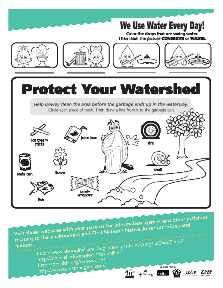

http://www.aboriginalcanada.gc.ca/acp/site.nsf/eng/ao04607.html Visit these websites with your parents for information, games and other activities relating to the environment and First Nation / Native American tribes an<sup>d</sup> nations.

http://nmai.si.edu/explore/forfamilies/ http://pbskids.org/eekoworld/ http://www.earthrangers.com/

candy wrapper

sade cen

fish







 $H_{LAN}^{MAR}$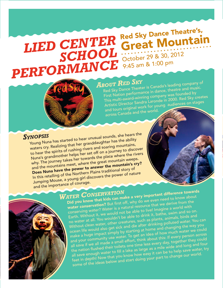## *LIED CENTER SCHOOL PERFORMANCE* Red Sky Dance Theatre's, Red Sky Ballico<br>Great Mountain October 29 & 30, 2012 9:45 am & 1:00 pm

# *<sup>A</sup>bout Red Sky*

Red Sky Dance Theater is Canada's leading company of First Nation performance in dance, theatre and music. This multi-award-winning company was founded by Artistic Director Sandra Laronde in 2000. Red Sky creates and tours original work for young audiences on stages across Canada and the world.

#### *Synopsis*

Young Nuna has started to hear unusual sounds, she hears the waters cry. Realizing that her granddaughter has the ability to hear the spirits of rushing rivers and soaring mountains, Nuna's grandmother helps her set off on a journey to discover why. The journey takes her towards the place where the rivers and the mountains meet, where the great mountain weeps. Does Nuna have the power to answer the mountain's cry? In this retelling of the Northern Plains traditional story of Jumping Mouse, a young girl discovers the power of nature and the importance of courage.

# *<sup>W</sup>ater <sup>C</sup>onservation*

Did you know that kids can make a very important difference towards water conservation? But first off, why do we even need to know about conserving water? Water is a natural resource that we derive from the Earth. Without it, we would not be able to live! Imagine a world with no water at all. You wouldn't be able to drink it, bathe, swim and so on. Without clean water, other creatures, such as plants, animals, birds an<sup>d</sup> ocean life would also get sick and die after drinking polluted water. You can make a huge impact simply by starting at home and changing the way you and your community use water. To get an idea of how much water we could all save if we all made a small effort, think about this: If every person across the nation flushed their toilets one time less every day, together they could all save enough water to fill a lake as large as a mile wide and long and four feet in depth! Now that you know how easy it can be to help save water, try some of the ideas below and start doing your part to change our world.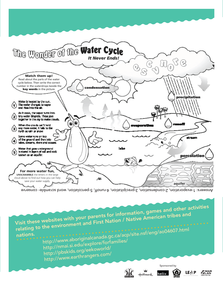

Answers: 1-evaporation, 2-condensation, 3-precipitation, 4-runoff, 5-percolation, word scramble- conserve

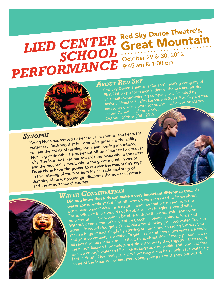# *LIED CENTER SCHOOL PERFORMANCE* Red Sky Dance Theatre's, Red Sky Ballico<br>Great Mountain October 29 & 30, 2012 9:45 am & 1:00 pm



Red Sky Dance Theater is Canada's leading company of First Nation performance in dance, theatre and music. This multi-award-winning company was founded by Artistic Director Sandra Laronde in 2000. Red Sky creates and tours original work for young audiences on stages across Canada and the world. October 29th & 30th, 2012 *<sup>A</sup>bout Red Sky*

*Synopsis*

Young Nuna has started to hear unusual sounds, she hears the waters cry. Realizing that her granddaughter has the ability to hear the spirits of rushing rivers and soaring mountains, Nuna's grandmother helps her set off on a journey to discover why. The journey takes her towards the place where the rivers and the mountains meet, where the great mountain weeps. Does Nuna have the power to answer the mountain's cry? In this retelling of the Northern Plains traditional story of Jumping Mouse, a young girl discovers the power of nature and the importance of courage.





Did you know that kids can make a very important difference towards water conservation? But first off, why do we even need to know about conserving water? Water is a natural resource that we derive from the Earth. Without it, we would not be able to live! Imagine a world with no water at all. You wouldn't be able to drink it, bathe, swim and so on. Without clean water, other creatures, such as plants, animals, birds and ocean life would also get sick and die after drinking polluted water. You can make a huge impact simply by starting at home and changing the way you and your community use water. To get an idea of how much water we could all save if we all made a small effort, think about this: If every person across the nation flushed their toilets one time less every day, together they could all save enough water to fill a lake as large as a mile wide and long and four feet in depth! Now that you know how easy it can be to help save water, try some of the ideas below and start doing your part to change our world. *<sup>W</sup>ater <sup>C</sup>onservation*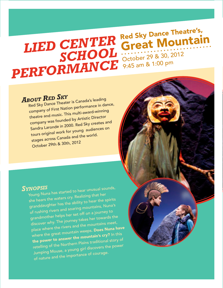## *LIED CENTER SCHOOL PERFORMANCE* Red Sky Dance Theatre's, Red Sky Ballico<br>Great Mountain October 29 & 30, 2012 9:45 am & 1:00 pm

## *<sup>A</sup>bout Red Sky*

Red Sky Dance Theater is Canada's leading company of First Nation performance in dance, theatre and music. This multi-award-winning company was founded by Artistic Director Sandra Laronde in 2000. Red Sky creates an<sup>d</sup> tours original work for young audiences on stages across Canada and the world. October 29th & 30th, 2012

#### *Synopsis*

Young Nuna has started to hear unusual sounds, she hears the waters cry. Realizing that her granddaughter has the ability to hear the spirits of rushing rivers and soaring mountains, Nuna's grandmother helps her set off on a journey to discover why. The journey takes her towards the place where the rivers and the mountains meet, where the great mountain weeps. Does Nuna have the power to answer the mountain's cry? In this retelling of the Northern Plains traditional story of Jumping Mouse, a young girl discovers the power of nature and the importance of courage.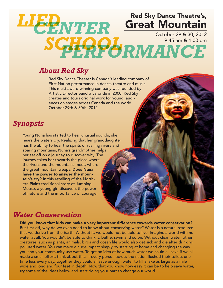## Red Sky Dance Theatre's, Great Mountain October 29 & 30, 2012 9:45 am & 1:00 pm *SCHOOL PERFORMANCECENTER LIED*

#### *About Red Sky*

Red Sky Dance Theater is Canada's leading company of First Nation performance in dance, theatre and music. This multi-award-winning company was founded by Artistic Director Sandra Laronde in 2000. Red Sky creates and tours original work for young audiences on stages across Canada and the world. October 29th & 30th, 2012

### *Synopsis*

Young Nuna has started to hear unusual sounds, she hears the waters cry. Realizing that her granddaughter has the ability to hear the spirits of rushing rivers and soaring mountains, Nuna's grandmother helps her set off on a journey to discover why. The journey takes her towards the place where the rivers and the mountains meet, where the great mountain weeps. Does Nuna have the power to answer the mountain's cry? In this retelling of the Northern Plains traditional story of Jumping Mouse, a young girl discovers the power of nature and the importance of courage.

#### *Water Conservation*

Did you know that kids can make a very important difference towards water conservation? But first off, why do we even need to know about conserving water? Water is a natural resource that we derive from the Earth. Without it, we would not be able to live! Imagine a world with no water at all. You wouldn't be able to drink it, bathe, swim and so on. Without clean water, other creatures, such as plants, animals, birds and ocean life would also get sick and die after drinking polluted water. You can make a huge impact simply by starting at home and changing the way you and your community use water. To get an idea of how much water we could all save if we all made a small effort, think about this: If every person across the nation flushed their toilets one time less every day, together they could all save enough water to fill a lake as large as a mile wide and long and four feet in depth! Now that you know how easy it can be to help save water, try some of the ideas below and start doing your part to change our world.